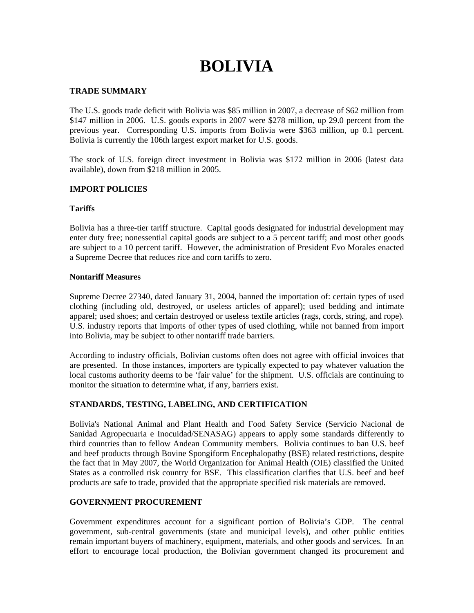# **BOLIVIA**

## **TRADE SUMMARY**

The U.S. goods trade deficit with Bolivia was \$85 million in 2007, a decrease of \$62 million from \$147 million in 2006. U.S. goods exports in 2007 were \$278 million, up 29.0 percent from the previous year. Corresponding U.S. imports from Bolivia were \$363 million, up 0.1 percent. Bolivia is currently the 106th largest export market for U.S. goods.

The stock of U.S. foreign direct investment in Bolivia was \$172 million in 2006 (latest data available), down from \$218 million in 2005.

### **IMPORT POLICIES**

# **Tariffs**

Bolivia has a three-tier tariff structure. Capital goods designated for industrial development may enter duty free; nonessential capital goods are subject to a 5 percent tariff; and most other goods are subject to a 10 percent tariff. However, the administration of President Evo Morales enacted a Supreme Decree that reduces rice and corn tariffs to zero.

### **Nontariff Measures**

Supreme Decree 27340, dated January 31, 2004, banned the importation of: certain types of used clothing (including old, destroyed, or useless articles of apparel); used bedding and intimate apparel; used shoes; and certain destroyed or useless textile articles (rags, cords, string, and rope). U.S. industry reports that imports of other types of used clothing, while not banned from import into Bolivia, may be subject to other nontariff trade barriers.

According to industry officials, Bolivian customs often does not agree with official invoices that are presented. In those instances, importers are typically expected to pay whatever valuation the local customs authority deems to be 'fair value' for the shipment. U.S. officials are continuing to monitor the situation to determine what, if any, barriers exist.

# **STANDARDS, TESTING, LABELING, AND CERTIFICATION**

Bolivia's National Animal and Plant Health and Food Safety Service (Servicio Nacional de Sanidad Agropecuaria e Inocuidad/SENASAG) appears to apply some standards differently to third countries than to fellow Andean Community members. Bolivia continues to ban U.S. beef and beef products through Bovine Spongiform Encephalopathy (BSE) related restrictions, despite the fact that in May 2007, the World Organization for Animal Health (OIE) classified the United States as a controlled risk country for BSE. This classification clarifies that U.S. beef and beef products are safe to trade, provided that the appropriate specified risk materials are removed.

# **GOVERNMENT PROCUREMENT**

Government expenditures account for a significant portion of Bolivia's GDP. The central government, sub-central governments (state and municipal levels), and other public entities remain important buyers of machinery, equipment, materials, and other goods and services. In an effort to encourage local production, the Bolivian government changed its procurement and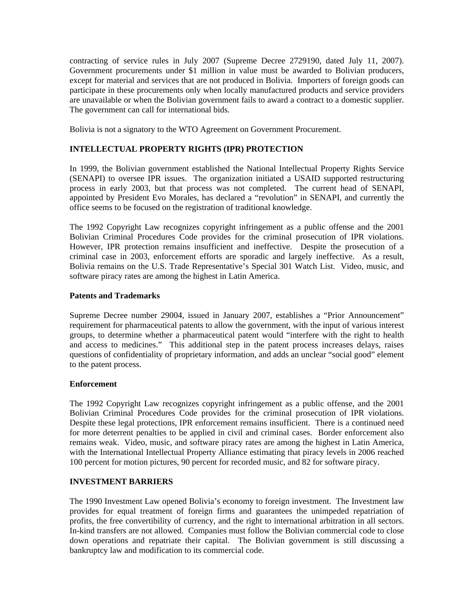contracting of service rules in July 2007 (Supreme Decree 2729190, dated July 11, 2007). Government procurements under \$1 million in value must be awarded to Bolivian producers, except for material and services that are not produced in Bolivia. Importers of foreign goods can participate in these procurements only when locally manufactured products and service providers are unavailable or when the Bolivian government fails to award a contract to a domestic supplier. The government can call for international bids.

Bolivia is not a signatory to the WTO Agreement on Government Procurement.

# **INTELLECTUAL PROPERTY RIGHTS (IPR) PROTECTION**

In 1999, the Bolivian government established the National Intellectual Property Rights Service (SENAPI) to oversee IPR issues. The organization initiated a USAID supported restructuring process in early 2003, but that process was not completed. The current head of SENAPI, appointed by President Evo Morales, has declared a "revolution" in SENAPI, and currently the office seems to be focused on the registration of traditional knowledge.

The 1992 Copyright Law recognizes copyright infringement as a public offense and the 2001 Bolivian Criminal Procedures Code provides for the criminal prosecution of IPR violations. However, IPR protection remains insufficient and ineffective. Despite the prosecution of a criminal case in 2003, enforcement efforts are sporadic and largely ineffective. As a result, Bolivia remains on the U.S. Trade Representative's Special 301 Watch List. Video, music, and software piracy rates are among the highest in Latin America.

#### **Patents and Trademarks**

Supreme Decree number 29004, issued in January 2007, establishes a "Prior Announcement" requirement for pharmaceutical patents to allow the government, with the input of various interest groups, to determine whether a pharmaceutical patent would "interfere with the right to health and access to medicines." This additional step in the patent process increases delays, raises questions of confidentiality of proprietary information, and adds an unclear "social good" element to the patent process.

### **Enforcement**

The 1992 Copyright Law recognizes copyright infringement as a public offense, and the 2001 Bolivian Criminal Procedures Code provides for the criminal prosecution of IPR violations. Despite these legal protections, IPR enforcement remains insufficient. There is a continued need for more deterrent penalties to be applied in civil and criminal cases. Border enforcement also remains weak. Video, music, and software piracy rates are among the highest in Latin America, with the International Intellectual Property Alliance estimating that piracy levels in 2006 reached 100 percent for motion pictures, 90 percent for recorded music, and 82 for software piracy.

#### **INVESTMENT BARRIERS**

The 1990 Investment Law opened Bolivia's economy to foreign investment. The Investment law provides for equal treatment of foreign firms and guarantees the unimpeded repatriation of profits, the free convertibility of currency, and the right to international arbitration in all sectors. In-kind transfers are not allowed. Companies must follow the Bolivian commercial code to close down operations and repatriate their capital. The Bolivian government is still discussing a bankruptcy law and modification to its commercial code.